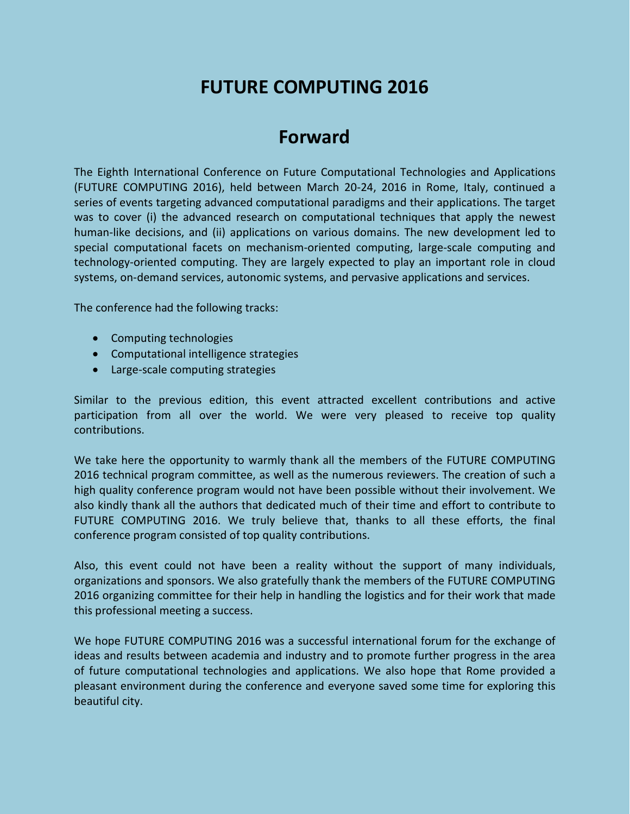# **FUTURE COMPUTING 2016**

## **Forward**

The Eighth International Conference on Future Computational Technologies and Applications (FUTURE COMPUTING 2016), held between March 20-24, 2016 in Rome, Italy, continued a series of events targeting advanced computational paradigms and their applications. The target was to cover (i) the advanced research on computational techniques that apply the newest human-like decisions, and (ii) applications on various domains. The new development led to special computational facets on mechanism-oriented computing, large-scale computing and technology-oriented computing. They are largely expected to play an important role in cloud systems, on-demand services, autonomic systems, and pervasive applications and services.

The conference had the following tracks:

- Computing technologies
- Computational intelligence strategies
- Large-scale computing strategies

Similar to the previous edition, this event attracted excellent contributions and active participation from all over the world. We were very pleased to receive top quality contributions.

We take here the opportunity to warmly thank all the members of the FUTURE COMPUTING 2016 technical program committee, as well as the numerous reviewers. The creation of such a high quality conference program would not have been possible without their involvement. We also kindly thank all the authors that dedicated much of their time and effort to contribute to FUTURE COMPUTING 2016. We truly believe that, thanks to all these efforts, the final conference program consisted of top quality contributions.

Also, this event could not have been a reality without the support of many individuals, organizations and sponsors. We also gratefully thank the members of the FUTURE COMPUTING 2016 organizing committee for their help in handling the logistics and for their work that made this professional meeting a success.

We hope FUTURE COMPUTING 2016 was a successful international forum for the exchange of ideas and results between academia and industry and to promote further progress in the area of future computational technologies and applications. We also hope that Rome provided a pleasant environment during the conference and everyone saved some time for exploring this beautiful city.